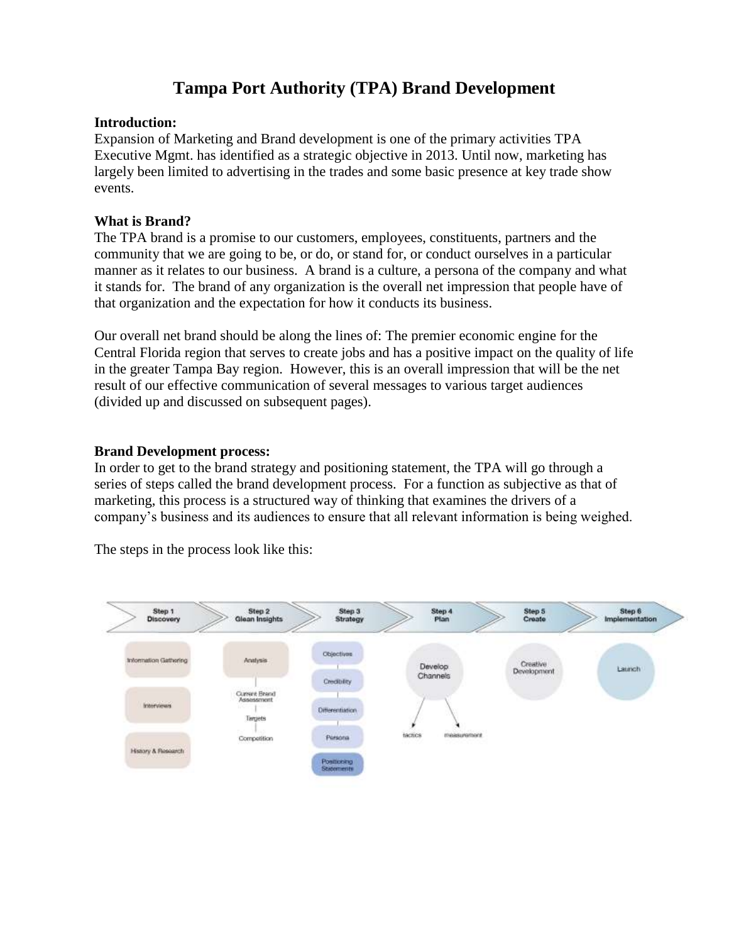# **Tampa Port Authority (TPA) Brand Development**

#### **Introduction:**

Expansion of Marketing and Brand development is one of the primary activities TPA Executive Mgmt. has identified as a strategic objective in 2013. Until now, marketing has largely been limited to advertising in the trades and some basic presence at key trade show events.

#### **What is Brand?**

The TPA brand is a promise to our customers, employees, constituents, partners and the community that we are going to be, or do, or stand for, or conduct ourselves in a particular manner as it relates to our business. A brand is a culture, a persona of the company and what it stands for. The brand of any organization is the overall net impression that people have of that organization and the expectation for how it conducts its business.

Our overall net brand should be along the lines of: The premier economic engine for the Central Florida region that serves to create jobs and has a positive impact on the quality of life in the greater Tampa Bay region. However, this is an overall impression that will be the net result of our effective communication of several messages to various target audiences (divided up and discussed on subsequent pages).

#### **Brand Development process:**

In order to get to the brand strategy and positioning statement, the TPA will go through a series of steps called the brand development process. For a function as subjective as that of marketing, this process is a structured way of thinking that examines the drivers of a company's business and its audiences to ensure that all relevant information is being weighed.

The steps in the process look like this:

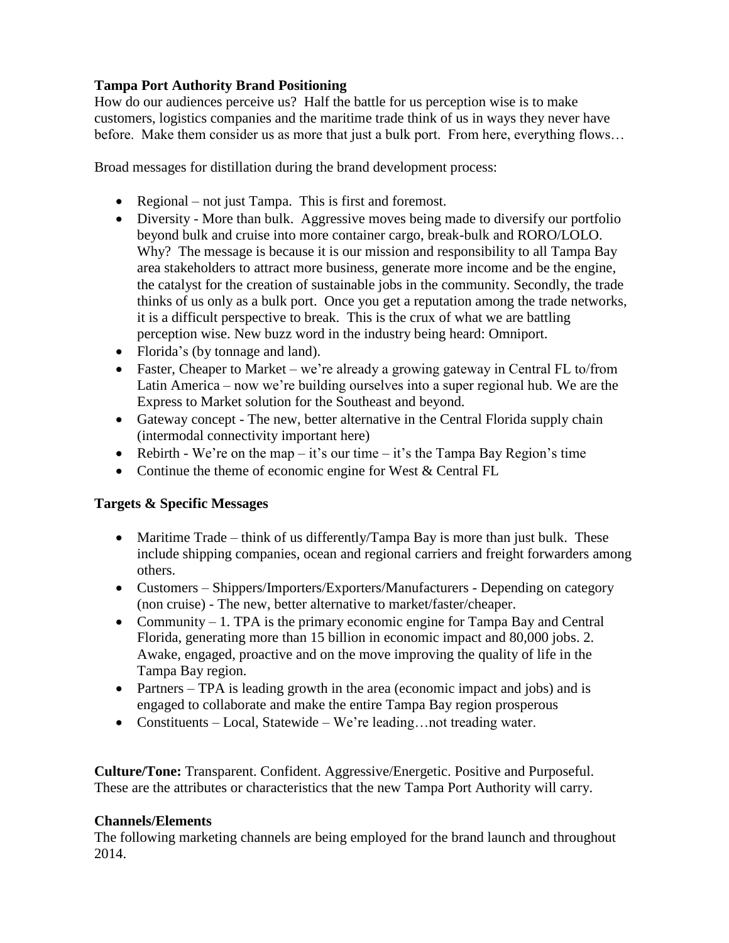## **Tampa Port Authority Brand Positioning**

How do our audiences perceive us? Half the battle for us perception wise is to make customers, logistics companies and the maritime trade think of us in ways they never have before. Make them consider us as more that just a bulk port. From here, everything flows…

Broad messages for distillation during the brand development process:

- Regional not just Tampa. This is first and foremost.
- Diversity More than bulk. Aggressive moves being made to diversify our portfolio beyond bulk and cruise into more container cargo, break-bulk and RORO/LOLO. Why? The message is because it is our mission and responsibility to all Tampa Bay area stakeholders to attract more business, generate more income and be the engine, the catalyst for the creation of sustainable jobs in the community. Secondly, the trade thinks of us only as a bulk port. Once you get a reputation among the trade networks, it is a difficult perspective to break. This is the crux of what we are battling perception wise. New buzz word in the industry being heard: Omniport.
- Florida's (by tonnage and land).
- Faster, Cheaper to Market we're already a growing gateway in Central FL to/from Latin America – now we're building ourselves into a super regional hub. We are the Express to Market solution for the Southeast and beyond.
- Gateway concept The new, better alternative in the Central Florida supply chain (intermodal connectivity important here)
- Rebirth We're on the map it's our time it's the Tampa Bay Region's time
- Continue the theme of economic engine for West & Central FL

### **Targets & Specific Messages**

- Maritime Trade think of us differently/Tampa Bay is more than just bulk. These include shipping companies, ocean and regional carriers and freight forwarders among others.
- Customers Shippers/Importers/Exporters/Manufacturers Depending on category (non cruise) - The new, better alternative to market/faster/cheaper.
- Community 1. TPA is the primary economic engine for Tampa Bay and Central Florida, generating more than 15 billion in economic impact and 80,000 jobs. 2. Awake, engaged, proactive and on the move improving the quality of life in the Tampa Bay region.
- Partners TPA is leading growth in the area (economic impact and jobs) and is engaged to collaborate and make the entire Tampa Bay region prosperous
- Constituents Local, Statewide We're leading... not treading water.

**Culture/Tone:** Transparent. Confident. Aggressive/Energetic. Positive and Purposeful. These are the attributes or characteristics that the new Tampa Port Authority will carry.

### **Channels/Elements**

The following marketing channels are being employed for the brand launch and throughout 2014.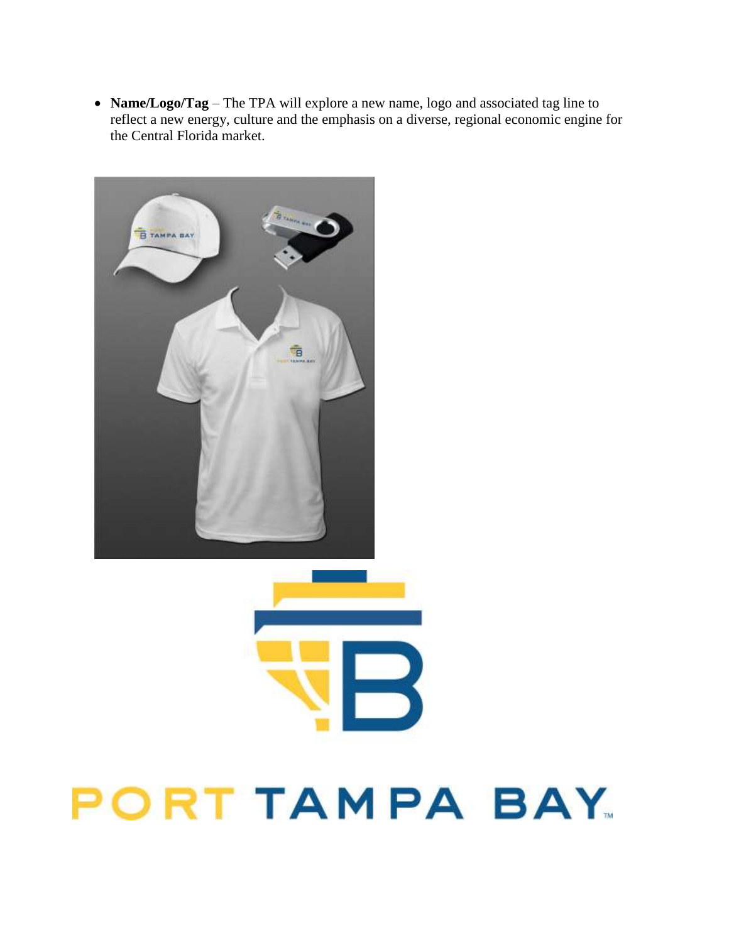**Name/Logo/Tag** – The TPA will explore a new name, logo and associated tag line to reflect a new energy, culture and the emphasis on a diverse, regional economic engine for the Central Florida market.



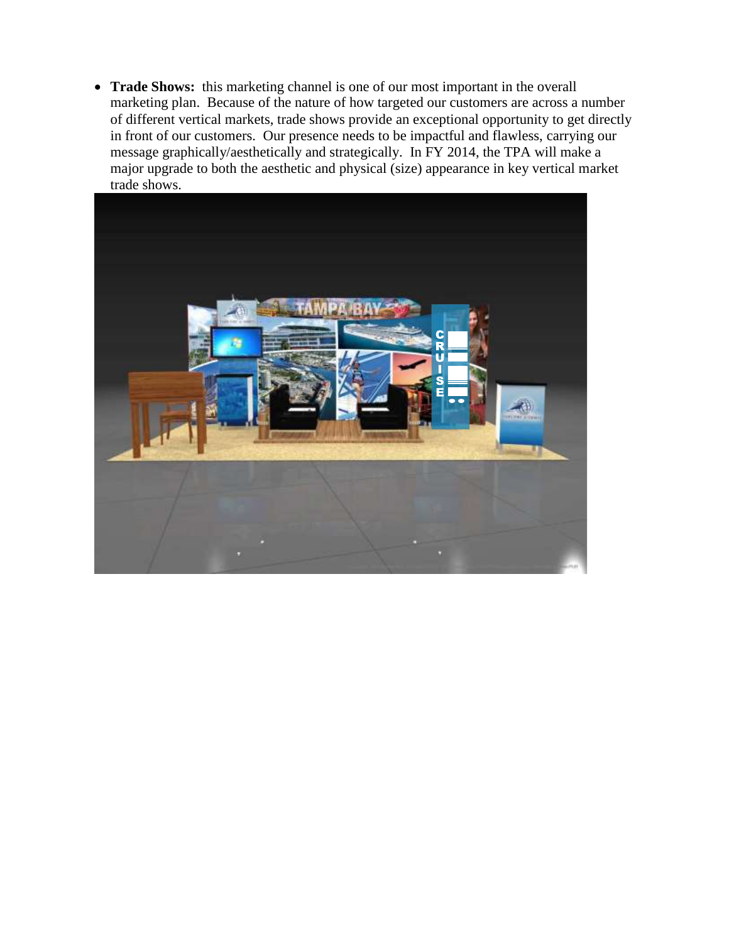**Trade Shows:** this marketing channel is one of our most important in the overall marketing plan. Because of the nature of how targeted our customers are across a number of different vertical markets, trade shows provide an exceptional opportunity to get directly in front of our customers. Our presence needs to be impactful and flawless, carrying our message graphically/aesthetically and strategically. In FY 2014, the TPA will make a major upgrade to both the aesthetic and physical (size) appearance in key vertical market trade shows.

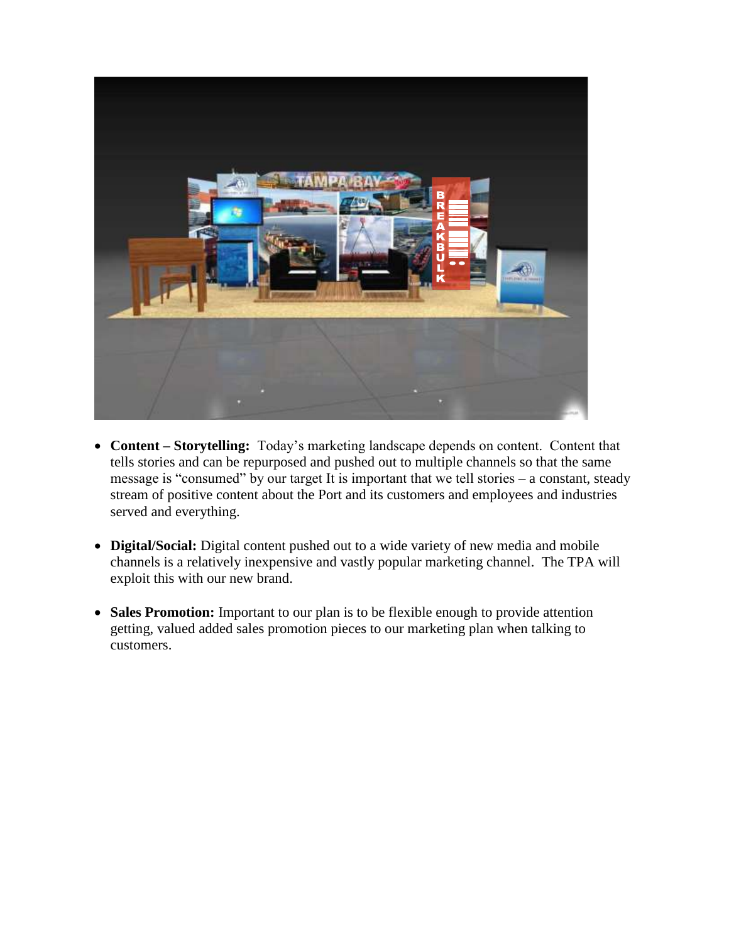

- **Content – Storytelling:** Today's marketing landscape depends on content. Content that tells stories and can be repurposed and pushed out to multiple channels so that the same message is "consumed" by our target It is important that we tell stories – a constant, steady stream of positive content about the Port and its customers and employees and industries served and everything.
- **Digital/Social:** Digital content pushed out to a wide variety of new media and mobile channels is a relatively inexpensive and vastly popular marketing channel. The TPA will exploit this with our new brand.
- **Sales Promotion:** Important to our plan is to be flexible enough to provide attention getting, valued added sales promotion pieces to our marketing plan when talking to customers.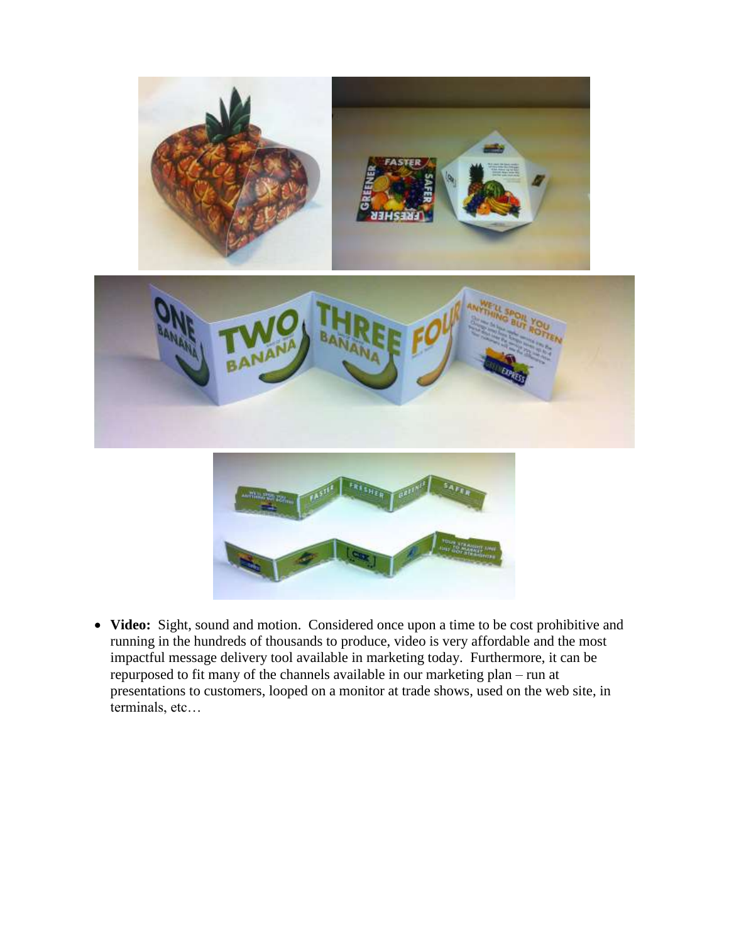

 **Video:** Sight, sound and motion. Considered once upon a time to be cost prohibitive and running in the hundreds of thousands to produce, video is very affordable and the most impactful message delivery tool available in marketing today. Furthermore, it can be repurposed to fit many of the channels available in our marketing plan – run at presentations to customers, looped on a monitor at trade shows, used on the web site, in terminals, etc…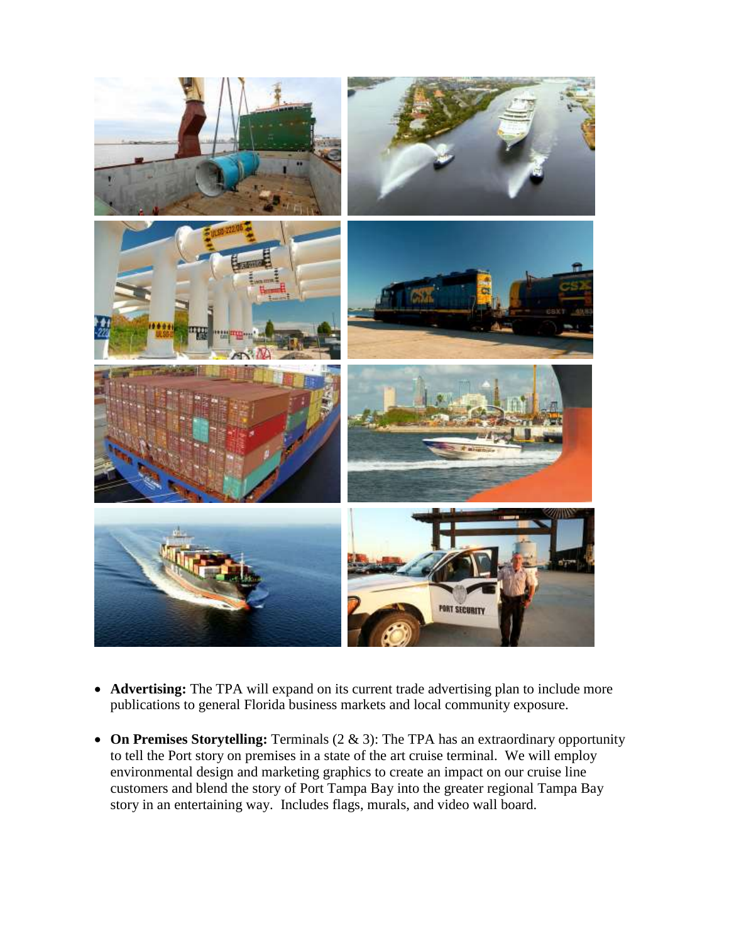

- **Advertising:** The TPA will expand on its current trade advertising plan to include more publications to general Florida business markets and local community exposure.
- **On Premises Storytelling:** Terminals (2 & 3): The TPA has an extraordinary opportunity to tell the Port story on premises in a state of the art cruise terminal. We will employ environmental design and marketing graphics to create an impact on our cruise line customers and blend the story of Port Tampa Bay into the greater regional Tampa Bay story in an entertaining way. Includes flags, murals, and video wall board.